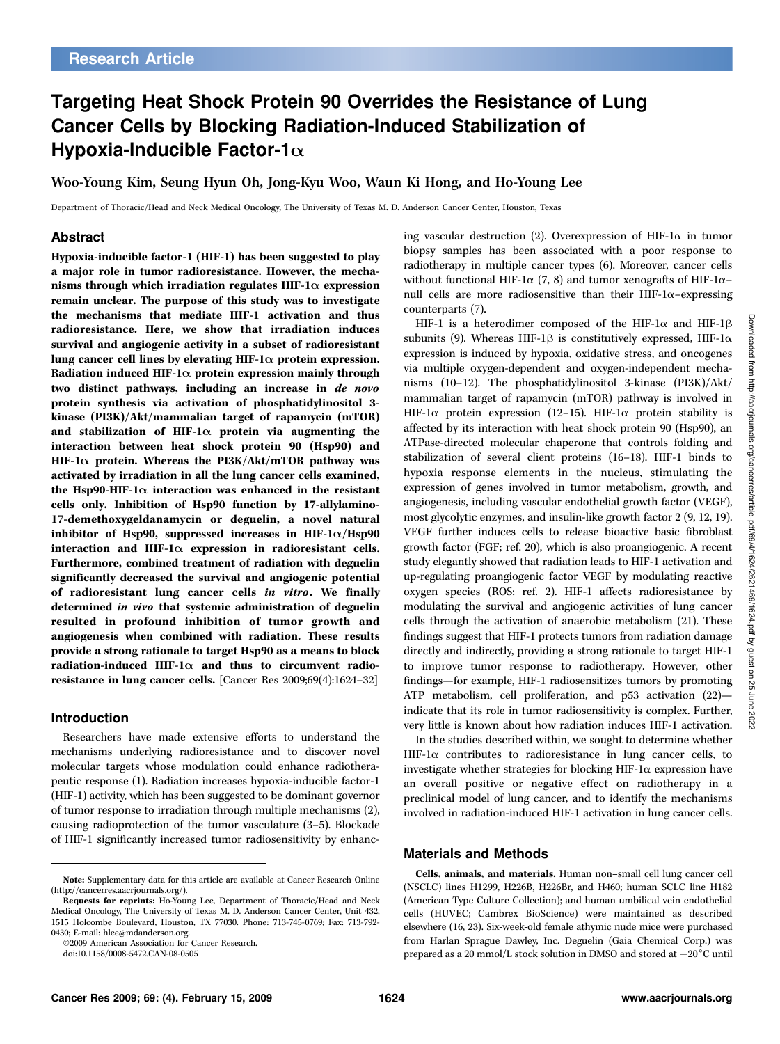# Targeting Heat Shock Protein 90 Overrides the Resistance of Lung Cancer Cells by Blocking Radiation-Induced Stabilization of Hypoxia-Inducible Factor-1 $\alpha$

Woo-Young Kim, Seung Hyun Oh, Jong-Kyu Woo, Waun Ki Hong, and Ho-Young Lee

Department of Thoracic/Head and Neck Medical Oncology, The University of Texas M. D. Anderson Cancer Center, Houston, Texas

## Abstract

Hypoxia-inducible factor-1 (HIF-1) has been suggested to play a major role in tumor radioresistance. However, the mechanisms through which irradiation regulates HIF-1 $\alpha$  expression remain unclear. The purpose of this study was to investigate the mechanisms that mediate HIF-1 activation and thus radioresistance. Here, we show that irradiation induces survival and angiogenic activity in a subset of radioresistant lung cancer cell lines by elevating HIF-1 $\alpha$  protein expression. Radiation induced HIF-1 $\alpha$  protein expression mainly through two distinct pathways, including an increase in de novo protein synthesis via activation of phosphatidylinositol 3 kinase (PI3K)/Akt/mammalian target of rapamycin (mTOR) and stabilization of HIF-1 $\alpha$  protein via augmenting the interaction between heat shock protein 90 (Hsp90) and HIF-1 $\alpha$  protein. Whereas the PI3K/Akt/mTOR pathway was activated by irradiation in all the lung cancer cells examined, the Hsp90-HIF-1 $\alpha$  interaction was enhanced in the resistant cells only. Inhibition of Hsp90 function by 17-allylamino-17-demethoxygeldanamycin or deguelin, a novel natural inhibitor of Hsp90, suppressed increases in HIF- $1\alpha$ /Hsp90 interaction and HIF-1 $\alpha$  expression in radioresistant cells. Furthermore, combined treatment of radiation with deguelin significantly decreased the survival and angiogenic potential of radioresistant lung cancer cells in vitro. We finally determined in vivo that systemic administration of deguelin resulted in profound inhibition of tumor growth and angiogenesis when combined with radiation. These results provide a strong rationale to target Hsp90 as a means to block radiation-induced HIF-1 $\alpha$  and thus to circumvent radioresistance in lung cancer cells. [Cancer Res 2009;69(4):1624–32]

#### Introduction

Researchers have made extensive efforts to understand the mechanisms underlying radioresistance and to discover novel molecular targets whose modulation could enhance radiotherapeutic response (1). Radiation increases hypoxia-inducible factor-1 (HIF-1) activity, which has been suggested to be dominant governor of tumor response to irradiation through multiple mechanisms (2), causing radioprotection of the tumor vasculature (3–5). Blockade of HIF-1 significantly increased tumor radiosensitivity by enhanc-

©2009 American Association for Cancer Research.

ing vascular destruction (2). Overexpression of HIF-1 $\alpha$  in tumor biopsy samples has been associated with a poor response to radiotherapy in multiple cancer types (6). Moreover, cancer cells without functional HIF-1 $\alpha$  (7, 8) and tumor xenografts of HIF-1 $\alpha$ – null cells are more radiosensitive than their HIF-1 $\alpha$ –expressing counterparts (7).

HIF-1 is a heterodimer composed of the HIF-1 $\alpha$  and HIF-1 $\beta$ subunits (9). Whereas HIF-1 $\beta$  is constitutively expressed, HIF-1 $\alpha$ expression is induced by hypoxia, oxidative stress, and oncogenes via multiple oxygen-dependent and oxygen-independent mechanisms (10–12). The phosphatidylinositol 3-kinase (PI3K)/Akt/ mammalian target of rapamycin (mTOR) pathway is involved in HIF-1 $\alpha$  protein expression (12-15). HIF-1 $\alpha$  protein stability is affected by its interaction with heat shock protein 90 (Hsp90), an ATPase-directed molecular chaperone that controls folding and stabilization of several client proteins (16–18). HIF-1 binds to hypoxia response elements in the nucleus, stimulating the expression of genes involved in tumor metabolism, growth, and angiogenesis, including vascular endothelial growth factor (VEGF), most glycolytic enzymes, and insulin-like growth factor 2 (9, 12, 19). VEGF further induces cells to release bioactive basic fibroblast growth factor (FGF; ref. 20), which is also proangiogenic. A recent study elegantly showed that radiation leads to HIF-1 activation and up-regulating proangiogenic factor VEGF by modulating reactive oxygen species (ROS; ref. 2). HIF-1 affects radioresistance by modulating the survival and angiogenic activities of lung cancer cells through the activation of anaerobic metabolism (21). These findings suggest that HIF-1 protects tumors from radiation damage directly and indirectly, providing a strong rationale to target HIF-1 to improve tumor response to radiotherapy. However, other findings—for example, HIF-1 radiosensitizes tumors by promoting ATP metabolism, cell proliferation, and p53 activation (22) indicate that its role in tumor radiosensitivity is complex. Further, very little is known about how radiation induces HIF-1 activation.

In the studies described within, we sought to determine whether  $HIF-I\alpha$  contributes to radioresistance in lung cancer cells, to investigate whether strategies for blocking HIF-1 $\alpha$  expression have an overall positive or negative effect on radiotherapy in a preclinical model of lung cancer, and to identify the mechanisms involved in radiation-induced HIF-1 activation in lung cancer cells.

#### Materials and Methods

Cells, animals, and materials. Human non-small cell lung cancer cell (NSCLC) lines H1299, H226B, H226Br, and H460; human SCLC line H182 (American Type Culture Collection); and human umbilical vein endothelial cells (HUVEC; Cambrex BioScience) were maintained as described elsewhere (16, 23). Six-week-old female athymic nude mice were purchased from Harlan Sprague Dawley, Inc. Deguelin (Gaia Chemical Corp.) was prepared as a 20 mmol/L stock solution in DMSO and stored at  $-20^{\circ}$ C until

Note: Supplementary data for this article are available at Cancer Research Online (http://cancerres.aacrjournals.org/).

Requests for reprints: Ho-Young Lee, Department of Thoracic/Head and Neck Medical Oncology, The University of Texas M. D. Anderson Cancer Center, Unit 432, 1515 Holcombe Boulevard, Houston, TX 77030. Phone: 713-745-0769; Fax: 713-792- 0430; E-mail: hlee@mdanderson.org.

doi:10.1158/0008-5472.CAN-08-0505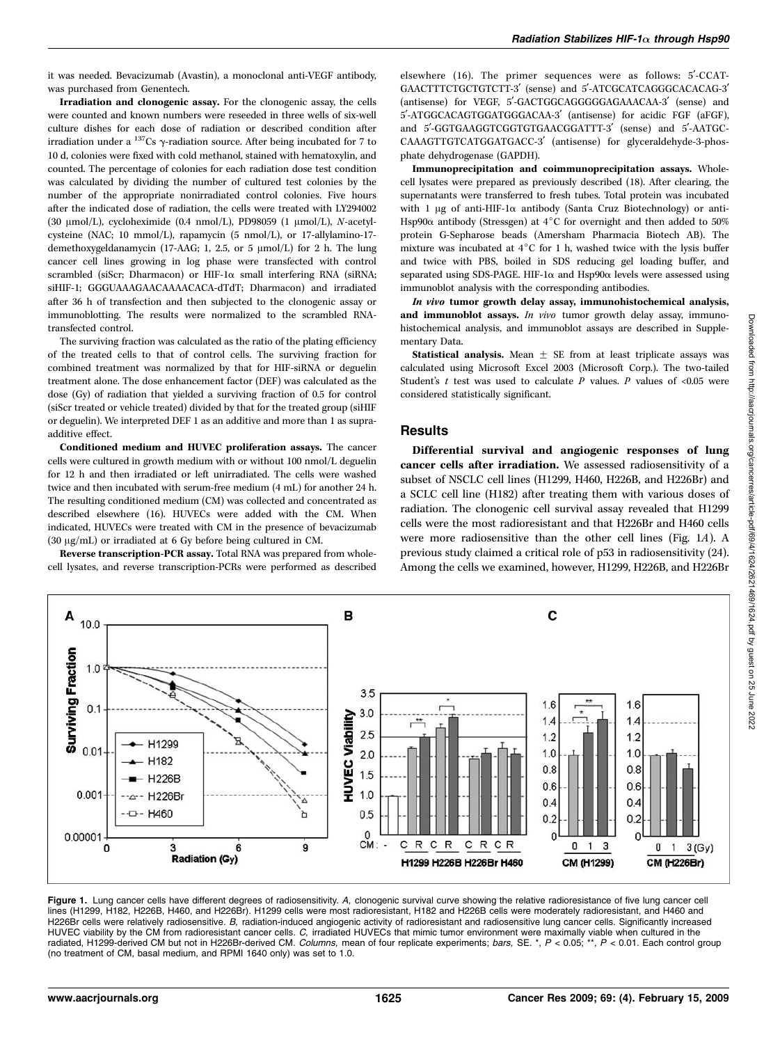it was needed. Bevacizumab (Avastin), a monoclonal anti-VEGF antibody, was purchased from Genentech.

Irradiation and clonogenic assay. For the clonogenic assay, the cells were counted and known numbers were reseeded in three wells of six-well culture dishes for each dose of radiation or described condition after irradiation under a  $^{137}$ Cs  $\gamma$ -radiation source. After being incubated for 7 to 10 d, colonies were fixed with cold methanol, stained with hematoxylin, and counted. The percentage of colonies for each radiation dose test condition was calculated by dividing the number of cultured test colonies by the number of the appropriate nonirradiated control colonies. Five hours after the indicated dose of radiation, the cells were treated with LY294002 (30  $\mu$ mol/L), cycloheximide (0.4 nmol/L), PD98059 (1  $\mu$ mol/L), N-acetylcysteine (NAC; 10 mmol/L), rapamycin (5 nmol/L), or 17-allylamino-17 demethoxygeldanamycin (17-AAG; 1, 2.5, or 5  $\mu$ mol/L) for 2 h. The lung cancer cell lines growing in log phase were transfected with control scrambled (siScr; Dharmacon) or HIF-1 $\alpha$  small interfering RNA (siRNA; siHIF-1; GGGUAAAGAACAAAACACA-dTdT; Dharmacon) and irradiated after 36 h of transfection and then subjected to the clonogenic assay or immunoblotting. The results were normalized to the scrambled RNAtransfected control.

The surviving fraction was calculated as the ratio of the plating efficiency of the treated cells to that of control cells. The surviving fraction for combined treatment was normalized by that for HIF-siRNA or deguelin treatment alone. The dose enhancement factor (DEF) was calculated as the dose (Gy) of radiation that yielded a surviving fraction of 0.5 for control (siScr treated or vehicle treated) divided by that for the treated group (siHIF or deguelin). We interpreted DEF 1 as an additive and more than 1 as supraadditive effect.

Conditioned medium and HUVEC proliferation assays. The cancer cells were cultured in growth medium with or without 100 nmol/L deguelin for 12 h and then irradiated or left unirradiated. The cells were washed twice and then incubated with serum-free medium (4 mL) for another 24 h. The resulting conditioned medium (CM) was collected and concentrated as described elsewhere (16). HUVECs were added with the CM. When indicated, HUVECs were treated with CM in the presence of bevacizumab  $(30 \mu g/mL)$  or irradiated at 6 Gy before being cultured in CM.

Reverse transcription-PCR assay. Total RNA was prepared from wholecell lysates, and reverse transcription-PCRs were performed as described elsewhere  $(16)$ . The primer sequences were as follows:  $5′$ -CCAT-GAACTTTCTGCTGTCTT-3' (sense) and 5'-ATCGCATCAGGGCACACAG-3' (antisense) for VEGF, 5'-GACTGGCAGGGGGAGAAACAA-3' (sense) and 5'-ATGGCACAGTGGATGGGACAA-3' (antisense) for acidic FGF (aFGF), and 5'-GGTGAAGGTCGGTGTGAACGGATTT-3' (sense) and 5'-AATGC-CAAAGTTGTCATGGATGACC-3' (antisense) for glyceraldehyde-3-phosphate dehydrogenase (GAPDH).

Immunoprecipitation and coimmunoprecipitation assays. Wholecell lysates were prepared as previously described (18). After clearing, the supernatants were transferred to fresh tubes. Total protein was incubated with 1  $\mu$ g of anti-HIF-1 $\alpha$  antibody (Santa Cruz Biotechnology) or anti-Hsp90 $\alpha$  antibody (Stressgen) at 4°C for overnight and then added to 50% protein G-Sepharose beads (Amersham Pharmacia Biotech AB). The mixture was incubated at  $4^{\circ}$ C for 1 h, washed twice with the lysis buffer and twice with PBS, boiled in SDS reducing gel loading buffer, and separated using SDS-PAGE. HIF-1 $\alpha$  and Hsp90 $\alpha$  levels were assessed using immunoblot analysis with the corresponding antibodies.

In vivo tumor growth delay assay, immunohistochemical analysis, and immunoblot assays. In vivo tumor growth delay assay, immunohistochemical analysis, and immunoblot assays are described in Supplementary Data.

Statistical analysis. Mean  $\pm$  SE from at least triplicate assays was calculated using Microsoft Excel 2003 (Microsoft Corp.). The two-tailed Student's  $t$  test was used to calculate  $P$  values.  $P$  values of <0.05 were considered statistically significant.

## **Results**

Differential survival and angiogenic responses of lung cancer cells after irradiation. We assessed radiosensitivity of a subset of NSCLC cell lines (H1299, H460, H226B, and H226Br) and a SCLC cell line (H182) after treating them with various doses of radiation. The clonogenic cell survival assay revealed that H1299 cells were the most radioresistant and that H226Br and H460 cells were more radiosensitive than the other cell lines (Fig. 1A). A previous study claimed a critical role of p53 in radiosensitivity (24). Among the cells we examined, however, H1299, H226B, and H226Br



Figure 1. Lung cancer cells have different degrees of radiosensitivity. A, clonogenic survival curve showing the relative radioresistance of five lung cancer cell lines (H1299, H182, H226B, H460, and H226Br). H1299 cells were most radioresistant, H182 and H226B cells were moderately radioresistant, and H460 and H226Br cells were relatively radiosensitive. B, radiation-induced angiogenic activity of radioresistant and radiosensitive lung cancer cells. Significantly increased HUVEC viability by the CM from radioresistant cancer cells. *C,* irradiated HUVECs that mimic tumor environment were maximally viable when cultured in the<br>radiated, H1299-derived CM but not in H226Br-derived CM. *Columns,* (no treatment of CM, basal medium, and RPMI 1640 only) was set to 1.0.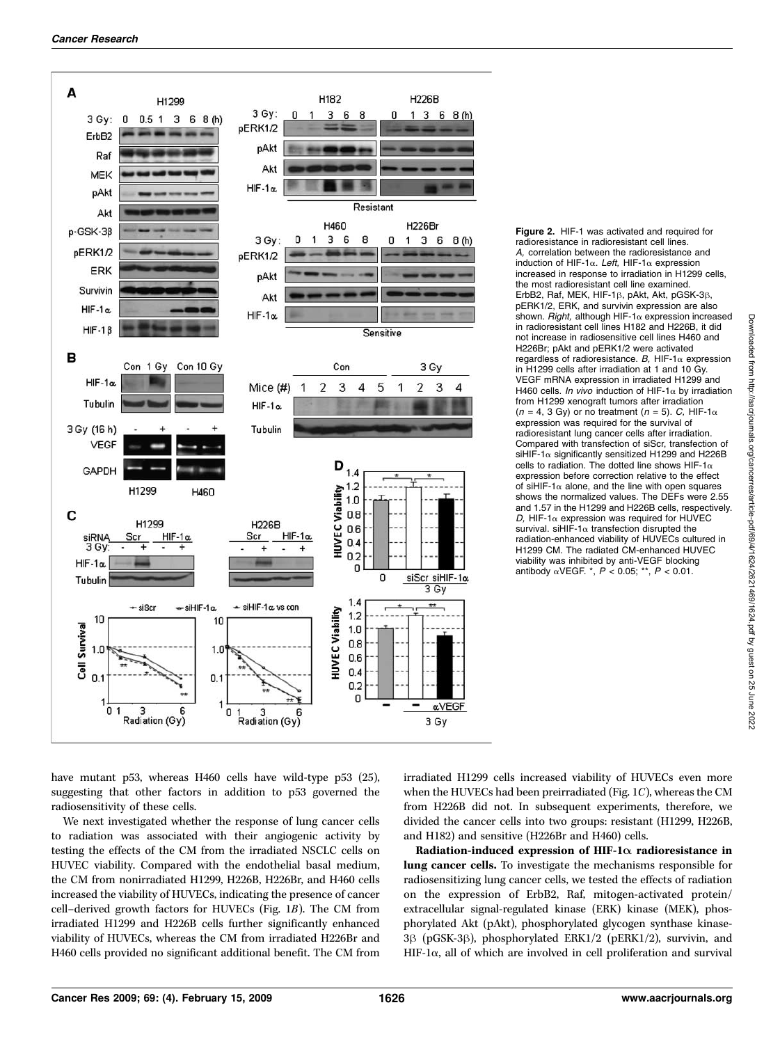

Figure 2. HIF-1 was activated and required for radioresistance in radioresistant cell lines. A, correlation between the radioresistance and induction of HIF-1 $\alpha$ . Left, HIF-1 $\alpha$  expression increased in response to irradiation in H1299 cells, the most radioresistant cell line examined. ErbB2, Raf, MEK, HIF-1 $\beta$ , pAkt, Akt, pGSK-3 $\beta$ , pERK1/2, ERK, and survivin expression are also shown. Right, although HIF-1 $\alpha$  expression increased in radioresistant cell lines H182 and H226B, it did not increase in radiosensitive cell lines H460 and H226Br; pAkt and pERK1/2 were activated regardless of radioresistance. B, HIF-1 $\alpha$  expression in H1299 cells after irradiation at 1 and 10 Gy. VEGF mRNA expression in irradiated H1299 and H460 cells. *In vivo* induction of HIF-1 $\alpha$  by irradiation from H1299 xenograft tumors after irradiation  $(n = 4, 3$  Gy) or no treatment  $(n = 5)$ . C, HIF-1 $\alpha$ expression was required for the survival of radioresistant lung cancer cells after irradiation. Compared with transfection of siScr, transfection of siHIF-1 $\alpha$  significantly sensitized H1299 and H226B cells to radiation. The dotted line shows HIF-1 $\alpha$ expression before correction relative to the effect of siHIF-1 $\alpha$  alone, and the line with open squares of siHIF-1a alone, and the line with open squares shows the normalized values. The DEFs were 2.55 and 1.57 in the H1299 and H226B cells, respectively. D, HIF-1 $\alpha$  expression was required for HUVEC survival. siHIF-1 $\alpha$  transfection disrupted the radiation-enhanced viability of HUVECs cultured in H1299 CM. The radiated CM-enhanced HUVEC viability was inhibited by anti-VEGF blocking antibody  $\alpha$ VEGF. \*,  $P < 0.05$ ; \*\*,  $P < 0.01$ .

have mutant p53, whereas H460 cells have wild-type p53 (25), suggesting that other factors in addition to p53 governed the radiosensitivity of these cells.

We next investigated whether the response of lung cancer cells to radiation was associated with their angiogenic activity by testing the effects of the CM from the irradiated NSCLC cells on HUVEC viability. Compared with the endothelial basal medium, the CM from nonirradiated H1299, H226B, H226Br, and H460 cells increased the viability of HUVECs, indicating the presence of cancer cell–derived growth factors for HUVECs (Fig. 1B). The CM from irradiated H1299 and H226B cells further significantly enhanced viability of HUVECs, whereas the CM from irradiated H226Br and H460 cells provided no significant additional benefit. The CM from

irradiated H1299 cells increased viability of HUVECs even more when the HUVECs had been preirradiated (Fig. 1C), whereas the CM from H226B did not. In subsequent experiments, therefore, we divided the cancer cells into two groups: resistant (H1299, H226B, and H182) and sensitive (H226Br and H460) cells.

Radiation-induced expression of HIF-1 $\alpha$  radioresistance in lung cancer cells. To investigate the mechanisms responsible for radiosensitizing lung cancer cells, we tested the effects of radiation on the expression of ErbB2, Raf, mitogen-activated protein/ extracellular signal-regulated kinase (ERK) kinase (MEK), phosphorylated Akt (pAkt), phosphorylated glycogen synthase kinase- $3\beta$  (pGSK-3 $\beta$ ), phosphorylated ERK1/2 (pERK1/2), survivin, and HIF-1 $\alpha$ , all of which are involved in cell proliferation and survival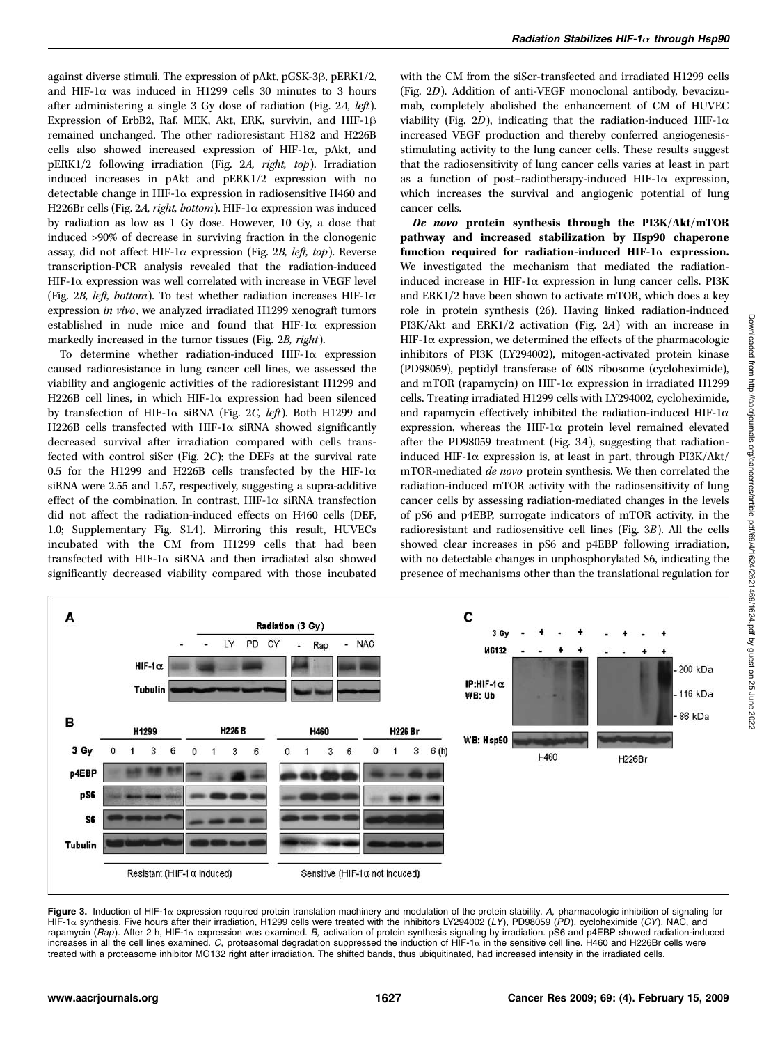against diverse stimuli. The expression of pAkt, pGSK-3 $\beta$ , pERK1/2, and HIF-1 $\alpha$  was induced in H1299 cells 30 minutes to 3 hours after administering a single 3 Gy dose of radiation (Fig. 2A, left). Expression of ErbB2, Raf, MEK, Akt, ERK, survivin, and HIF-1 $\beta$ remained unchanged. The other radioresistant H182 and H226B cells also showed increased expression of HIF-1 $\alpha$ , pAkt, and pERK1/2 following irradiation (Fig. 2A, right, top). Irradiation induced increases in pAkt and pERK1/2 expression with no detectable change in HIF-1 $\alpha$  expression in radiosensitive H460 and H226Br cells (Fig. 2A, right, bottom). HIF-1a expression was induced by radiation as low as 1 Gy dose. However, 10 Gy, a dose that induced >90% of decrease in surviving fraction in the clonogenic assay, did not affect HIF-1 $\alpha$  expression (Fig. 2B, left, top). Reverse transcription-PCR analysis revealed that the radiation-induced  $HIF$ -1 $\alpha$  expression was well correlated with increase in VEGF level (Fig. 2B, left, bottom). To test whether radiation increases HIF-1 $\alpha$ expression in vivo, we analyzed irradiated H1299 xenograft tumors established in nude mice and found that  $HIF-I\alpha$  expression markedly increased in the tumor tissues (Fig. 2B, right).

To determine whether radiation-induced HIF-1 $\alpha$  expression caused radioresistance in lung cancer cell lines, we assessed the viability and angiogenic activities of the radioresistant H1299 and H226B cell lines, in which HIF-1a expression had been silenced by transfection of HIF-1 $\alpha$  siRNA (Fig. 2C, left). Both H1299 and H226B cells transfected with HIF-1 $\alpha$  siRNA showed significantly decreased survival after irradiation compared with cells transfected with control siScr (Fig.  $2C$ ); the DEFs at the survival rate 0.5 for the H1299 and H226B cells transfected by the HIF-1 $\alpha$ siRNA were 2.55 and 1.57, respectively, suggesting a supra-additive effect of the combination. In contrast, HIF-1 $\alpha$  siRNA transfection did not affect the radiation-induced effects on H460 cells (DEF, 1.0; Supplementary Fig. S1A). Mirroring this result, HUVECs incubated with the CM from H1299 cells that had been transfected with HIF-1 $\alpha$  siRNA and then irradiated also showed significantly decreased viability compared with those incubated with the CM from the siScr-transfected and irradiated H1299 cells (Fig. 2D). Addition of anti-VEGF monoclonal antibody, bevacizumab, completely abolished the enhancement of CM of HUVEC viability (Fig. 2D), indicating that the radiation-induced HIF-1 $\alpha$ increased VEGF production and thereby conferred angiogenesisstimulating activity to the lung cancer cells. These results suggest that the radiosensitivity of lung cancer cells varies at least in part as a function of post-radiotherapy-induced HIF-1 $\alpha$  expression, which increases the survival and angiogenic potential of lung cancer cells.

De novo protein synthesis through the PI3K/Akt/mTOR pathway and increased stabilization by Hsp90 chaperone function required for radiation-induced HIF-1 $\alpha$  expression. We investigated the mechanism that mediated the radiationinduced increase in HIF-1 $\alpha$  expression in lung cancer cells. PI3K and ERK1/2 have been shown to activate mTOR, which does a key role in protein synthesis (26). Having linked radiation-induced PI3K/Akt and ERK1/2 activation (Fig. 2A) with an increase in  $HIF$ -1 $\alpha$  expression, we determined the effects of the pharmacologic inhibitors of PI3K (LY294002), mitogen-activated protein kinase (PD98059), peptidyl transferase of 60S ribosome (cycloheximide), and mTOR (rapamycin) on HIF-1 $\alpha$  expression in irradiated H1299 cells. Treating irradiated H1299 cells with LY294002, cycloheximide, and rapamycin effectively inhibited the radiation-induced HIF-1 $\alpha$ expression, whereas the HIF-1 $\alpha$  protein level remained elevated after the PD98059 treatment (Fig. 3A), suggesting that radiationinduced HIF-1 $\alpha$  expression is, at least in part, through PI3K/Akt/ mTOR-mediated de novo protein synthesis. We then correlated the radiation-induced mTOR activity with the radiosensitivity of lung cancer cells by assessing radiation-mediated changes in the levels of pS6 and p4EBP, surrogate indicators of mTOR activity, in the radioresistant and radiosensitive cell lines (Fig. 3B). All the cells showed clear increases in pS6 and p4EBP following irradiation, with no detectable changes in unphosphorylated S6, indicating the presence of mechanisms other than the translational regulation for



**Figure 3.** Induction of HIF-1α expression required protein translation machinery and modulation of the protein stability. A, pharmacologic inhibition of signaling for<br>HIF-1α synthesis. Five hours after their irradiation, rapamycin (*Rap*). After 2 h, HIF-1α expression was examined. B, activation of protein synthesis signaling by irradiation. pS6 and p4EBP showed radiation-induced<br>increases in all the cell lines examined. *C*, proteasomal treated with a proteasome inhibitor MG132 right after irradiation. The shifted bands, thus ubiquitinated, had increased intensity in the irradiated cells.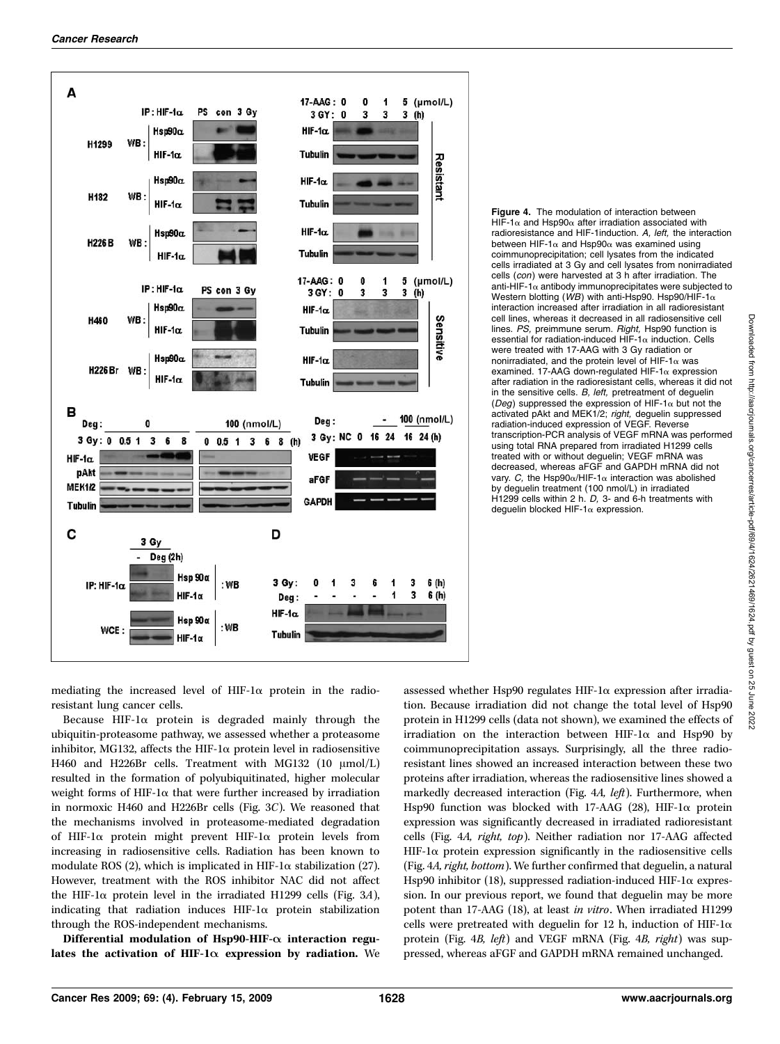

**Figure 4.** The modulation of interaction between HIF-1 $\alpha$  and Hsp90 $\alpha$  after irradiation associated with HIF-1α and Hsp90α after irradiation associated with<br>radioresistance and HIF-1induction. *A, left,* the interaction between HIF-1α and Hsp90α was examined using<br>coimmunoprecipitation; cell lysates from the indicated cells irradiated at 3 Gy and cell lysates from nonirradiated cells (con) were harvested at 3 h after irradiation. The anti-HIF-1 $\alpha$  antibody immunoprecipitates were subjected to anti-HIF-1α antibody immunoprecipitates were subjected to<br>Western blotting (*WB*) with anti-Hsp90. Hsp90/HIF-1α<br>interaction increased after irradiation in all radioresistant interaction increased after irradiation in all radioresistant cell lines, whereas it decreased in all radiosensitive cell lines. PS, preimmune serum. Right, Hsp90 function is essential for radiation-induced HIF-1 $\alpha$  induction. Cells were treated with 17-AAG with 3 Gy radiation or nonirradiated, and the protein level of HIF-1 $\alpha$  was examined. 17-AAG down-regulated HIF-1 $\alpha$  expression after radiation in the radioresistant cells, whereas it did not in the sensitive cells. B, left, pretreatment of deguelin (Deg) suppressed the expression of HIF-1 $\alpha$  but not the (*Deg*) suppressed the expression of HIF-1 $\alpha$  but not the<br>activated pAkt and MEK1/2; *right,* deguelin suppressed radiation-induced expression of VEGF. Reverse transcription-PCR analysis of VEGF mRNA was performed using total RNA prepared from irradiated H1299 cells treated with or without deguelin; VEGF mRNA was decreased, whereas aFGF and GAPDH mRNA did not vary. C. the Hsp90 $\alpha$ /HIF-1 $\alpha$  interaction was abolished vary. *C,* the Hsp90α/HIF-1α interaction was abolished<br>by deguelin treatment (100 nmol/L) in irradiated H1299 cells within 2 h. D. 3- and 6-h treatments with deguelin blocked HIF-1 $\alpha$  expression.

mediating the increased level of HIF-1 $\alpha$  protein in the radioresistant lung cancer cells.

Because HIF-1 $\alpha$  protein is degraded mainly through the ubiquitin-proteasome pathway, we assessed whether a proteasome inhibitor, MG132, affects the HIF-1 $\alpha$  protein level in radiosensitive H460 and H226Br cells. Treatment with MG132 (10  $\mu$ mol/L) resulted in the formation of polyubiquitinated, higher molecular weight forms of HIF-1 $\alpha$  that were further increased by irradiation in normoxic H460 and H226Br cells (Fig. 3C). We reasoned that the mechanisms involved in proteasome-mediated degradation of HIF-1 $\alpha$  protein might prevent HIF-1 $\alpha$  protein levels from increasing in radiosensitive cells. Radiation has been known to modulate ROS (2), which is implicated in HIF-1 $\alpha$  stabilization (27). However, treatment with the ROS inhibitor NAC did not affect the HIF-1 $\alpha$  protein level in the irradiated H1299 cells (Fig. 3A), indicating that radiation induces  $HIF-I\alpha$  protein stabilization through the ROS-independent mechanisms.

Differential modulation of Hsp90-HIF- $\alpha$  interaction regulates the activation of HIF-1 $\alpha$  expression by radiation. We assessed whether Hsp90 regulates HIF-1 $\alpha$  expression after irradiation. Because irradiation did not change the total level of Hsp90 protein in H1299 cells (data not shown), we examined the effects of irradiation on the interaction between HIF-1 $\alpha$  and Hsp90 by coimmunoprecipitation assays. Surprisingly, all the three radioresistant lines showed an increased interaction between these two proteins after irradiation, whereas the radiosensitive lines showed a markedly decreased interaction (Fig. 4A, left). Furthermore, when Hsp90 function was blocked with 17-AAG (28), HIF-1 $\alpha$  protein expression was significantly decreased in irradiated radioresistant cells (Fig. 4A, right, top). Neither radiation nor 17-AAG affected  $HIF-I\alpha$  protein expression significantly in the radiosensitive cells (Fig. 4A, right, bottom). We further confirmed that deguelin, a natural Hsp90 inhibitor (18), suppressed radiation-induced HIF-1 $\alpha$  expression. In our previous report, we found that deguelin may be more potent than 17-AAG (18), at least in vitro. When irradiated H1299 cells were pretreated with deguelin for 12 h, induction of HIF-1 $\alpha$ protein (Fig. 4*B*, *left*) and VEGF mRNA (Fig. 4*B*, *right*) was suppressed, whereas aFGF and GAPDH mRNA remained unchanged.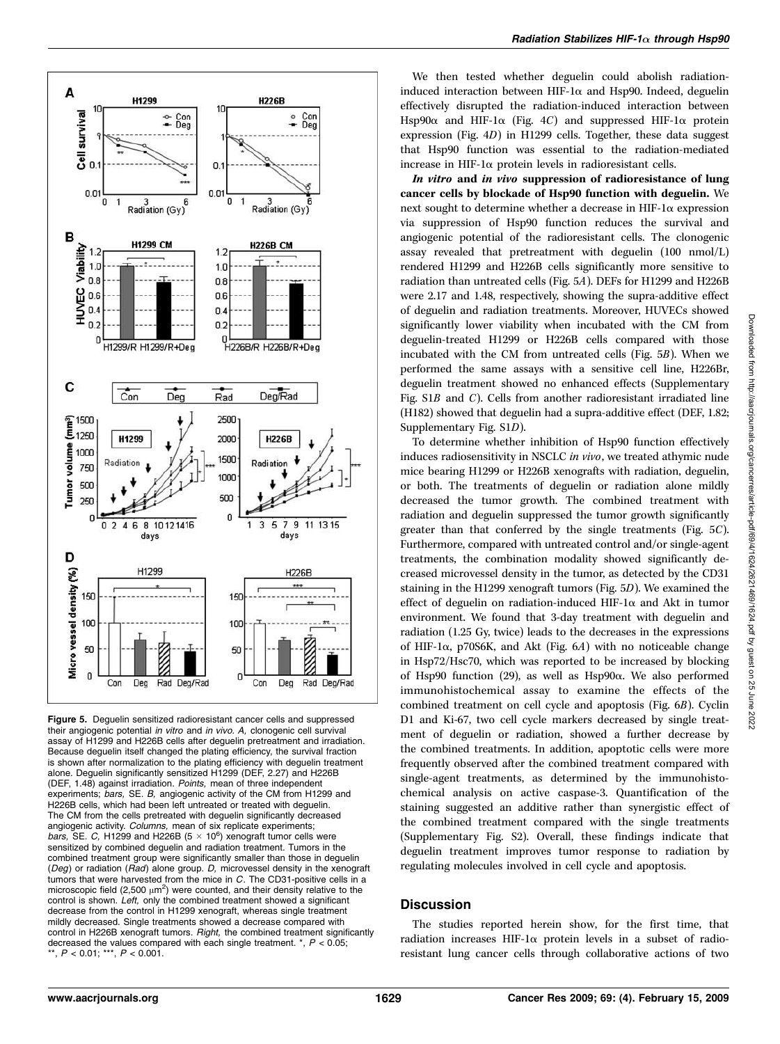

Figure 5. Deguelin sensitized radioresistant cancer cells and suppressed their angiogenic potential in vitro and in vivo. A, clonogenic cell survival assay of H1299 and H226B cells after deguelin pretreatment and irradiation. Because deguelin itself changed the plating efficiency, the survival fraction is shown after normalization to the plating efficiency with deguelin treatment alone. Deguelin significantly sensitized H1299 (DEF, 2.27)and H226B (DEF, 1.48) against irradiation. Points, mean of three independent experiments; bars, SE. B, angiogenic activity of the CM from H1299 and H226B cells, which had been left untreated or treated with deguelin. The CM from the cells pretreated with deguelin significantly decreased angiogenic activity. Columns, mean of six replicate experiments; bars, SE. C, H1299 and H226B ( $5 \times 10^6$ ) xenograft tumor cells were sensitized by combined deguelin and radiation treatment. Tumors in the combined treatment group were significantly smaller than those in deguelin (Deg) or radiation ( $Rad$ ) alone group. D, microvessel density in the xenograft tumors that were harvested from the mice in C. The CD31-positive cells in a microscopic field  $(2,500 \mu m^2)$  were counted, and their density relative to the control is shown. Left, only the combined treatment showed a significant decrease from the control in H1299 xenograft, whereas single treatment mildly decreased. Single treatments showed a decrease compared with control in H226B xenograft tumors. Right, the combined treatment significantly decreased the values compared with each single treatment.  $*$ ,  $P < 0.05$ ; \*\*,  $P < 0.01$ ; \*\*\*,  $P < 0.001$ .

We then tested whether deguelin could abolish radiationinduced interaction between HIF-1 $\alpha$  and Hsp90. Indeed, deguelin effectively disrupted the radiation-induced interaction between Hsp90 $\alpha$  and HIF-1 $\alpha$  (Fig. 4C) and suppressed HIF-1 $\alpha$  protein expression (Fig. 4D) in H1299 cells. Together, these data suggest that Hsp90 function was essential to the radiation-mediated increase in HIF-1 $\alpha$  protein levels in radioresistant cells.

In vitro and in vivo suppression of radioresistance of lung cancer cells by blockade of Hsp90 function with deguelin. We next sought to determine whether a decrease in HIF-1 $\alpha$  expression via suppression of Hsp90 function reduces the survival and angiogenic potential of the radioresistant cells. The clonogenic assay revealed that pretreatment with deguelin (100 nmol/L) rendered H1299 and H226B cells significantly more sensitive to radiation than untreated cells (Fig. 5A). DEFs for H1299 and H226B were 2.17 and 1.48, respectively, showing the supra-additive effect of deguelin and radiation treatments. Moreover, HUVECs showed significantly lower viability when incubated with the CM from deguelin-treated H1299 or H226B cells compared with those incubated with the CM from untreated cells (Fig. 5B). When we performed the same assays with a sensitive cell line, H226Br, deguelin treatment showed no enhanced effects (Supplementary Fig. S1B and C). Cells from another radioresistant irradiated line (H182) showed that deguelin had a supra-additive effect (DEF, 1.82; Supplementary Fig. S1D).

To determine whether inhibition of Hsp90 function effectively induces radiosensitivity in NSCLC in vivo, we treated athymic nude mice bearing H1299 or H226B xenografts with radiation, deguelin, or both. The treatments of deguelin or radiation alone mildly decreased the tumor growth. The combined treatment with radiation and deguelin suppressed the tumor growth significantly greater than that conferred by the single treatments (Fig. 5C). Furthermore, compared with untreated control and/or single-agent treatments, the combination modality showed significantly decreased microvessel density in the tumor, as detected by the CD31 staining in the H1299 xenograft tumors (Fig. 5D). We examined the effect of deguelin on radiation-induced HIF-1 $\alpha$  and Akt in tumor environment. We found that 3-day treatment with deguelin and radiation (1.25 Gy, twice) leads to the decreases in the expressions of HIF-1 $\alpha$ , p70S6K, and Akt (Fig. 6A) with no noticeable change in Hsp72/Hsc70, which was reported to be increased by blocking of Hsp90 function (29), as well as  $Hsp90\alpha$ . We also performed immunohistochemical assay to examine the effects of the combined treatment on cell cycle and apoptosis (Fig. 6B). Cyclin D1 and Ki-67, two cell cycle markers decreased by single treatment of deguelin or radiation, showed a further decrease by the combined treatments. In addition, apoptotic cells were more frequently observed after the combined treatment compared with single-agent treatments, as determined by the immunohistochemical analysis on active caspase-3. Quantification of the staining suggested an additive rather than synergistic effect of the combined treatment compared with the single treatments (Supplementary Fig. S2). Overall, these findings indicate that deguelin treatment improves tumor response to radiation by regulating molecules involved in cell cycle and apoptosis.

#### **Discussion**

The studies reported herein show, for the first time, that radiation increases HIF-1 $\alpha$  protein levels in a subset of radioresistant lung cancer cells through collaborative actions of two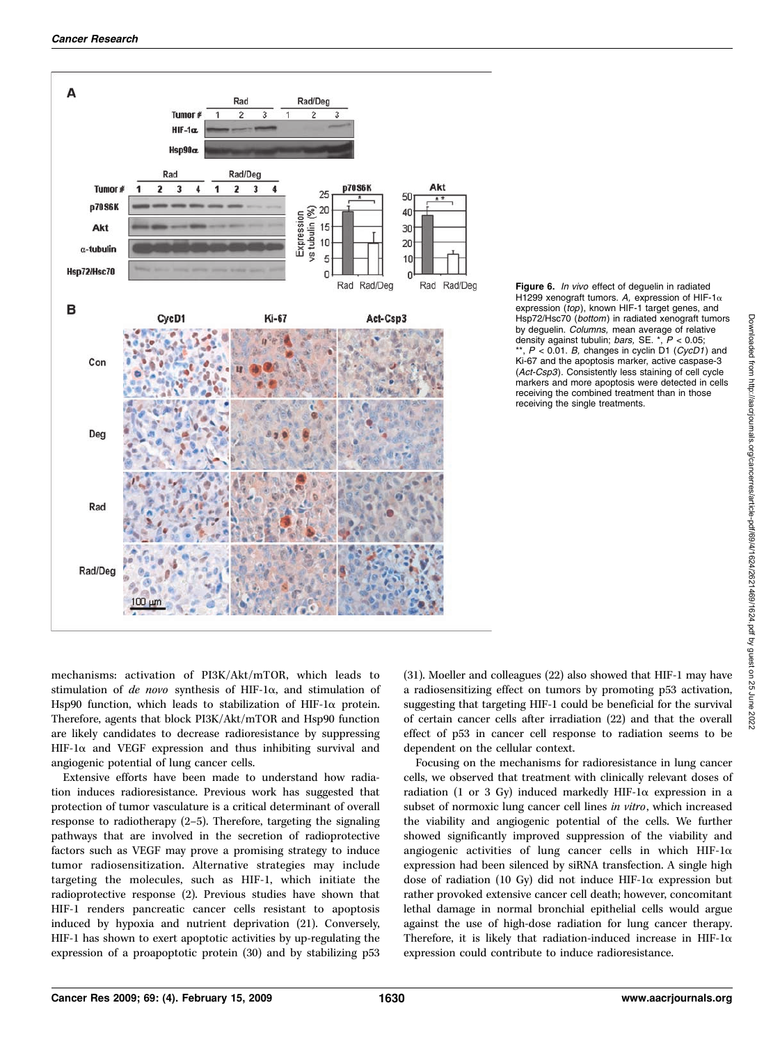

Figure 6. In vivo effect of deguelin in radiated H1299 xenograft tumors. *A,* expression of HIF-1α<br>expression (*top*), known HIF-1 target genes, and Hsp72/Hsc70 (bottom) in radiated xenograft tumors by deguelin. Columns, mean average of relative density against tubulin; bars, SE.  $*$ ,  $P < 0.05$ ;  $^*$ ,  $P < 0.01$ . B, changes in cyclin D1 (CycD1) and Ki-67 and the apoptosis marker, active caspase-3 (Act-Csp3). Consistently less staining of cell cycle markers and more apoptosis were detected in cells receiving the combined treatment than in those receiving the single treatments.

mechanisms: activation of PI3K/Akt/mTOR, which leads to stimulation of de novo synthesis of HIF-1 $\alpha$ , and stimulation of Hsp90 function, which leads to stabilization of HIF-1 $\alpha$  protein. Therefore, agents that block PI3K/Akt/mTOR and Hsp90 function are likely candidates to decrease radioresistance by suppressing HIF-1 $\alpha$  and VEGF expression and thus inhibiting survival and angiogenic potential of lung cancer cells.

Extensive efforts have been made to understand how radiation induces radioresistance. Previous work has suggested that protection of tumor vasculature is a critical determinant of overall response to radiotherapy (2–5). Therefore, targeting the signaling pathways that are involved in the secretion of radioprotective factors such as VEGF may prove a promising strategy to induce tumor radiosensitization. Alternative strategies may include targeting the molecules, such as HIF-1, which initiate the radioprotective response (2). Previous studies have shown that HIF-1 renders pancreatic cancer cells resistant to apoptosis induced by hypoxia and nutrient deprivation (21). Conversely, HIF-1 has shown to exert apoptotic activities by up-regulating the expression of a proapoptotic protein (30) and by stabilizing p53

(31). Moeller and colleagues (22) also showed that HIF-1 may have a radiosensitizing effect on tumors by promoting p53 activation, suggesting that targeting HIF-1 could be beneficial for the survival of certain cancer cells after irradiation (22) and that the overall effect of p53 in cancer cell response to radiation seems to be dependent on the cellular context.

Focusing on the mechanisms for radioresistance in lung cancer cells, we observed that treatment with clinically relevant doses of radiation (1 or 3 Gy) induced markedly HIF-1 $\alpha$  expression in a subset of normoxic lung cancer cell lines in vitro, which increased the viability and angiogenic potential of the cells. We further showed significantly improved suppression of the viability and angiogenic activities of lung cancer cells in which HIF-1 $\alpha$ expression had been silenced by siRNA transfection. A single high dose of radiation (10 Gy) did not induce HIF-1 $\alpha$  expression but rather provoked extensive cancer cell death; however, concomitant lethal damage in normal bronchial epithelial cells would argue against the use of high-dose radiation for lung cancer therapy. Therefore, it is likely that radiation-induced increase in HIF-1 $\alpha$ expression could contribute to induce radioresistance.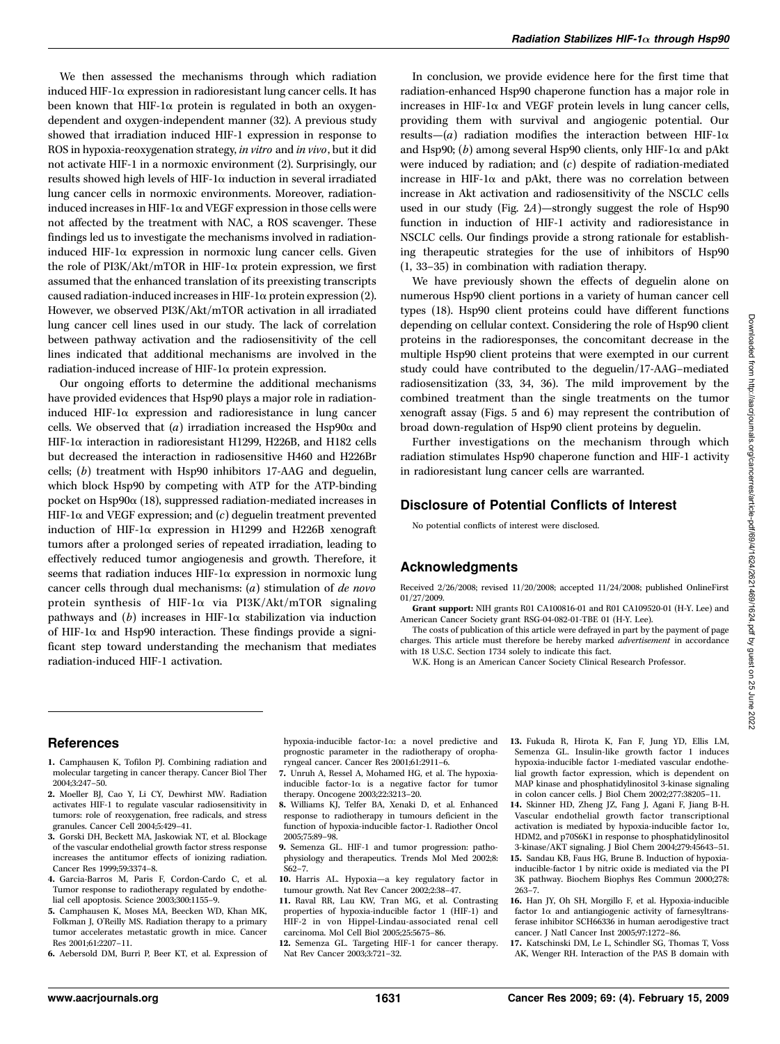We then assessed the mechanisms through which radiation induced HIF-1a expression in radioresistant lung cancer cells. It has been known that HIF-1 $\alpha$  protein is regulated in both an oxygendependent and oxygen-independent manner (32). A previous study showed that irradiation induced HIF-1 expression in response to ROS in hypoxia-reoxygenation strategy, in vitro and in vivo, but it did not activate HIF-1 in a normoxic environment (2). Surprisingly, our results showed high levels of HIF-1 $\alpha$  induction in several irradiated lung cancer cells in normoxic environments. Moreover, radiationinduced increases in HIF-1 $\alpha$  and VEGF expression in those cells were not affected by the treatment with NAC, a ROS scavenger. These findings led us to investigate the mechanisms involved in radiationinduced HIF-1 $\alpha$  expression in normoxic lung cancer cells. Given the role of PI3K/Akt/mTOR in HIF-1a protein expression, we first assumed that the enhanced translation of its preexisting transcripts caused radiation-induced increases in HIF-1 $\alpha$  protein expression (2). However, we observed PI3K/Akt/mTOR activation in all irradiated lung cancer cell lines used in our study. The lack of correlation between pathway activation and the radiosensitivity of the cell lines indicated that additional mechanisms are involved in the radiation-induced increase of HIF-1 $\alpha$  protein expression.

Our ongoing efforts to determine the additional mechanisms have provided evidences that Hsp90 plays a major role in radiationinduced HIF-1 $\alpha$  expression and radioresistance in lung cancer cells. We observed that (a) irradiation increased the Hsp90 $\alpha$  and HIF-1a interaction in radioresistant H1299, H226B, and H182 cells but decreased the interaction in radiosensitive H460 and H226Br cells; (b) treatment with Hsp90 inhibitors 17-AAG and deguelin, which block Hsp90 by competing with ATP for the ATP-binding pocket on Hsp $90\alpha$  (18), suppressed radiation-mediated increases in HIF-1 $\alpha$  and VEGF expression; and (c) deguelin treatment prevented induction of HIF-1 $\alpha$  expression in H1299 and H226B xenograft tumors after a prolonged series of repeated irradiation, leading to effectively reduced tumor angiogenesis and growth. Therefore, it seems that radiation induces HIF-1 $\alpha$  expression in normoxic lung cancer cells through dual mechanisms: (a) stimulation of de novo protein synthesis of HIF-1 $\alpha$  via PI3K/Akt/mTOR signaling pathways and  $(b)$  increases in HIF-1 $\alpha$  stabilization via induction of HIF-1 $\alpha$  and Hsp90 interaction. These findings provide a significant step toward understanding the mechanism that mediates radiation-induced HIF-1 activation.

In conclusion, we provide evidence here for the first time that radiation-enhanced Hsp90 chaperone function has a major role in increases in HIF-1 $\alpha$  and VEGF protein levels in lung cancer cells, providing them with survival and angiogenic potential. Our results—(a) radiation modifies the interaction between HIF-1 $\alpha$ and Hsp90; (b) among several Hsp90 clients, only HIF-1 $\alpha$  and pAkt were induced by radiation; and  $(c)$  despite of radiation-mediated increase in HIF-1 $\alpha$  and pAkt, there was no correlation between increase in Akt activation and radiosensitivity of the NSCLC cells used in our study (Fig. 2A)—strongly suggest the role of Hsp90 function in induction of HIF-1 activity and radioresistance in NSCLC cells. Our findings provide a strong rationale for establishing therapeutic strategies for the use of inhibitors of Hsp90 (1, 33–35) in combination with radiation therapy.

We have previously shown the effects of deguelin alone on numerous Hsp90 client portions in a variety of human cancer cell types (18). Hsp90 client proteins could have different functions depending on cellular context. Considering the role of Hsp90 client proteins in the radioresponses, the concomitant decrease in the multiple Hsp90 client proteins that were exempted in our current study could have contributed to the deguelin/17-AAG–mediated radiosensitization (33, 34, 36). The mild improvement by the combined treatment than the single treatments on the tumor xenograft assay (Figs. 5 and 6) may represent the contribution of broad down-regulation of Hsp90 client proteins by deguelin.

Further investigations on the mechanism through which radiation stimulates Hsp90 chaperone function and HIF-1 activity in radioresistant lung cancer cells are warranted.

## Disclosure of Potential Conflicts of Interest

No potential conflicts of interest were disclosed.

# Acknowledgments

Received 2/26/2008; revised 11/20/2008; accepted 11/24/2008; published OnlineFirst 01/27/2009.

Grant support: NIH grants R01 CA100816-01 and R01 CA109520-01 (H-Y. Lee) and American Cancer Society grant RSG-04-082-01-TBE 01 (H-Y. Lee).

The costs of publication of this article were defrayed in part by the payment of page charges. This article must therefore be hereby marked advertisement in accordance with 18 U.S.C. Section 1734 solely to indicate this fact.

W.K. Hong is an American Cancer Society Clinical Research Professor.

## References

- 1. Camphausen K, Tofilon PJ. Combining radiation and molecular targeting in cancer therapy. Cancer Biol Ther 2004;3:247–50.
- 2. Moeller BJ, Cao Y, Li CY, Dewhirst MW. Radiation activates HIF-1 to regulate vascular radiosensitivity in tumors: role of reoxygenation, free radicals, and stress granules. Cancer Cell 2004;5:429–41.
- 3. Gorski DH, Beckett MA, Jaskowiak NT, et al. Blockage of the vascular endothelial growth factor stress response increases the antitumor effects of ionizing radiation. Cancer Res 1999;59:3374–8.
- 4. Garcia-Barros M, Paris F, Cordon-Cardo C, et al. Tumor response to radiotherapy regulated by endothelial cell apoptosis. Science 2003;300:1155–9.
- 5. Camphausen K, Moses MA, Beecken WD, Khan MK, Folkman J, O'Reilly MS. Radiation therapy to a primary tumor accelerates metastatic growth in mice. Cancer Res 2001;61:2207–11.
- 6. Aebersold DM, Burri P, Beer KT, et al. Expression of

hypoxia-inducible factor-1a: a novel predictive and prognostic parameter in the radiotherapy of oropharyngeal cancer. Cancer Res 2001;61:2911–6.

- 7. Unruh A, Ressel A, Mohamed HG, et al. The hypoxiainducible factor-1 $\alpha$  is a negative factor for tumor therapy. Oncogene 2003;22:3213–20.
- 8. Williams KJ, Telfer BA, Xenaki D, et al. Enhanced response to radiotherapy in tumours deficient in the function of hypoxia-inducible factor-1. Radiother Oncol 2005;75:89–98.
- 9. Semenza GL. HIF-1 and tumor progression: pathophysiology and therapeutics. Trends Mol Med 2002;8: S62–7.
- 10. Harris AL. Hypoxia—a key regulatory factor in tumour growth. Nat Rev Cancer 2002;2:38–47.
- 11. Raval RR, Lau KW, Tran MG, et al. Contrasting properties of hypoxia-inducible factor 1 (HIF-1) and HIF-2 in von Hippel-Lindau-associated renal cell carcinoma. Mol Cell Biol 2005;25:5675–86.
- 12. Semenza GL. Targeting HIF-1 for cancer therapy. Nat Rev Cancer 2003;3:721–32.

13. Fukuda R, Hirota K, Fan F, Jung YD, Ellis LM, Semenza GL. Insulin-like growth factor 1 induces hypoxia-inducible factor 1-mediated vascular endothelial growth factor expression, which is dependent on MAP kinase and phosphatidylinositol 3-kinase signaling in colon cancer cells. J Biol Chem 2002;277:38205–11.

- 14. Skinner HD, Zheng JZ, Fang J, Agani F, Jiang B-H. Vascular endothelial growth factor transcriptional activation is mediated by hypoxia-inducible factor  $1\alpha,$ HDM2, and p70S6K1 in response to phosphatidylinositol 3-kinase/AKT signaling. J Biol Chem 2004;279:45643–51. 15. Sandau KB, Faus HG, Brune B. Induction of hypoxiainducible-factor 1 by nitric oxide is mediated via the PI 3K pathway. Biochem Biophys Res Commun 2000;278: 263–7.
- **16.** Han JY, Oh SH, Morgillo F, et al. Hypoxia-inducible factor  $1\alpha$  and antiangiogenic activity of farnesyltransfactor 1a and antiangiogenic activity of farnesyltrans-ferase inhibitor SCH66336 in human aerodigestive tract cancer. J Natl Cancer Inst 2005;97:1272–86.
- 17. Katschinski DM, Le L, Schindler SG, Thomas T, Voss AK, Wenger RH. Interaction of the PAS B domain with